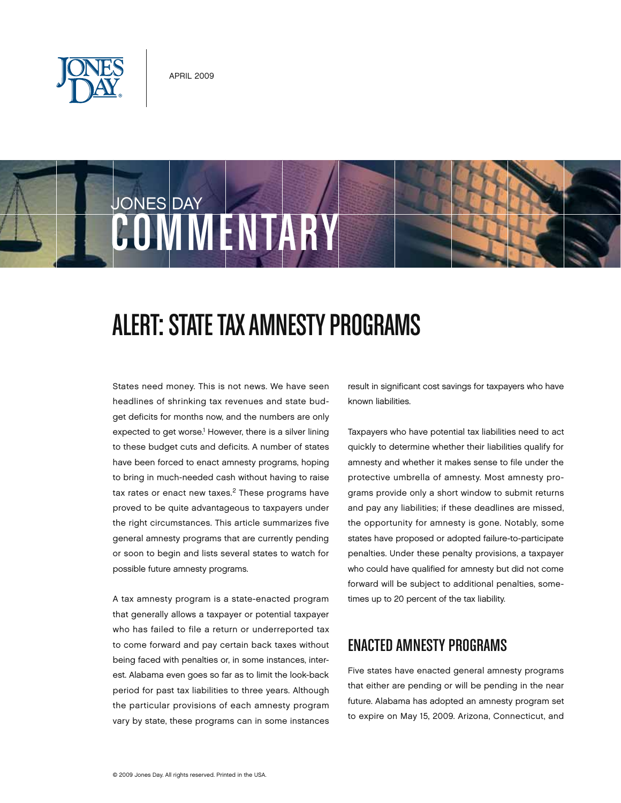



# JONES DAY **COMMENTAR**

## Alert: State Tax Amnesty Programs

States need money. This is not news. We have seen headlines of shrinking tax revenues and state budget deficits for months now, and the numbers are only expected to get worse.<sup>1</sup> However, there is a silver lining to these budget cuts and deficits. A number of states have been forced to enact amnesty programs, hoping to bring in much-needed cash without having to raise tax rates or enact new taxes. $2$  These programs have proved to be quite advantageous to taxpayers under the right circumstances. This article summarizes five general amnesty programs that are currently pending or soon to begin and lists several states to watch for possible future amnesty programs.

A tax amnesty program is a state-enacted program that generally allows a taxpayer or potential taxpayer who has failed to file a return or underreported tax to come forward and pay certain back taxes without being faced with penalties or, in some instances, interest. Alabama even goes so far as to limit the look-back period for past tax liabilities to three years. Although the particular provisions of each amnesty program vary by state, these programs can in some instances result in significant cost savings for taxpayers who have known liabilities.

Taxpayers who have potential tax liabilities need to act quickly to determine whether their liabilities qualify for amnesty and whether it makes sense to file under the protective umbrella of amnesty. Most amnesty programs provide only a short window to submit returns and pay any liabilities; if these deadlines are missed, the opportunity for amnesty is gone. Notably, some states have proposed or adopted failure-to-participate penalties. Under these penalty provisions, a taxpayer who could have qualified for amnesty but did not come forward will be subject to additional penalties, sometimes up to 20 percent of the tax liability.

## Enacted Amnesty Programs

Five states have enacted general amnesty programs that either are pending or will be pending in the near future. Alabama has adopted an amnesty program set to expire on May 15, 2009. Arizona, Connecticut, and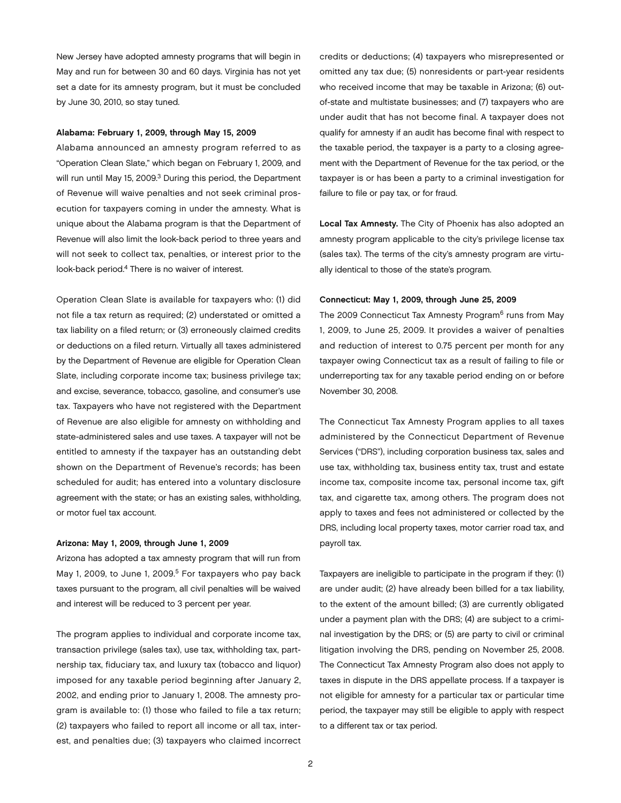New Jersey have adopted amnesty programs that will begin in May and run for between 30 and 60 days. Virginia has not yet set a date for its amnesty program, but it must be concluded by June 30, 2010, so stay tuned.

#### Alabama: February 1, 2009, through May 15, 2009

Alabama announced an amnesty program referred to as "Operation Clean Slate," which began on February 1, 2009, and will run until May 15, 2009.<sup>3</sup> During this period, the Department of Revenue will waive penalties and not seek criminal prosecution for taxpayers coming in under the amnesty. What is unique about the Alabama program is that the Department of Revenue will also limit the look-back period to three years and will not seek to collect tax, penalties, or interest prior to the look-back period.4 There is no waiver of interest.

Operation Clean Slate is available for taxpayers who: (1) did not file a tax return as required; (2) understated or omitted a tax liability on a filed return; or (3) erroneously claimed credits or deductions on a filed return. Virtually all taxes administered by the Department of Revenue are eligible for Operation Clean Slate, including corporate income tax; business privilege tax; and excise, severance, tobacco, gasoline, and consumer's use tax. Taxpayers who have not registered with the Department of Revenue are also eligible for amnesty on withholding and state-administered sales and use taxes. A taxpayer will not be entitled to amnesty if the taxpayer has an outstanding debt shown on the Department of Revenue's records; has been scheduled for audit; has entered into a voluntary disclosure agreement with the state; or has an existing sales, withholding, or motor fuel tax account.

#### Arizona: May 1, 2009, through June 1, 2009

Arizona has adopted a tax amnesty program that will run from May 1, 2009, to June 1, 2009. $5$  For taxpayers who pay back taxes pursuant to the program, all civil penalties will be waived and interest will be reduced to 3 percent per year.

The program applies to individual and corporate income tax, transaction privilege (sales tax), use tax, withholding tax, partnership tax, fiduciary tax, and luxury tax (tobacco and liquor) imposed for any taxable period beginning after January 2, 2002, and ending prior to January 1, 2008. The amnesty program is available to: (1) those who failed to file a tax return; (2) taxpayers who failed to report all income or all tax, interest, and penalties due; (3) taxpayers who claimed incorrect

credits or deductions; (4) taxpayers who misrepresented or omitted any tax due; (5) nonresidents or part-year residents who received income that may be taxable in Arizona; (6) outof-state and multistate businesses; and (7) taxpayers who are under audit that has not become final. A taxpayer does not qualify for amnesty if an audit has become final with respect to the taxable period, the taxpayer is a party to a closing agreement with the Department of Revenue for the tax period, or the taxpayer is or has been a party to a criminal investigation for failure to file or pay tax, or for fraud.

Local Tax Amnesty. The City of Phoenix has also adopted an amnesty program applicable to the city's privilege license tax (sales tax). The terms of the city's amnesty program are virtually identical to those of the state's program.

#### Connecticut: May 1, 2009, through June 25, 2009

The 2009 Connecticut Tax Amnesty Program<sup>6</sup> runs from May 1, 2009, to June 25, 2009. It provides a waiver of penalties and reduction of interest to 0.75 percent per month for any taxpayer owing Connecticut tax as a result of failing to file or underreporting tax for any taxable period ending on or before November 30, 2008.

The Connecticut Tax Amnesty Program applies to all taxes administered by the Connecticut Department of Revenue Services ("DRS"), including corporation business tax, sales and use tax, withholding tax, business entity tax, trust and estate income tax, composite income tax, personal income tax, gift tax, and cigarette tax, among others. The program does not apply to taxes and fees not administered or collected by the DRS, including local property taxes, motor carrier road tax, and payroll tax.

Taxpayers are ineligible to participate in the program if they: (1) are under audit; (2) have already been billed for a tax liability, to the extent of the amount billed; (3) are currently obligated under a payment plan with the DRS; (4) are subject to a criminal investigation by the DRS; or (5) are party to civil or criminal litigation involving the DRS, pending on November 25, 2008. The Connecticut Tax Amnesty Program also does not apply to taxes in dispute in the DRS appellate process. If a taxpayer is not eligible for amnesty for a particular tax or particular time period, the taxpayer may still be eligible to apply with respect to a different tax or tax period.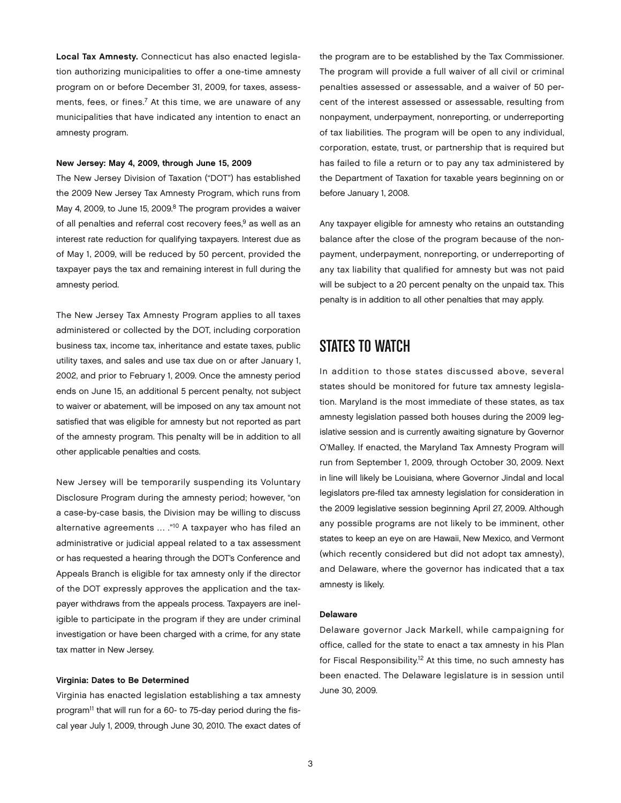Local Tax Amnesty. Connecticut has also enacted legislation authorizing municipalities to offer a one-time amnesty program on or before December 31, 2009, for taxes, assessments, fees, or fines.<sup>7</sup> At this time, we are unaware of any municipalities that have indicated any intention to enact an amnesty program.

#### New Jersey: May 4, 2009, through June 15, 2009

The New Jersey Division of Taxation ("DOT") has established the 2009 New Jersey Tax Amnesty Program, which runs from May 4, 2009, to June 15, 2009.<sup>8</sup> The program provides a waiver of all penalties and referral cost recovery fees,<sup>9</sup> as well as an interest rate reduction for qualifying taxpayers. Interest due as of May 1, 2009, will be reduced by 50 percent, provided the taxpayer pays the tax and remaining interest in full during the amnesty period.

The New Jersey Tax Amnesty Program applies to all taxes administered or collected by the DOT, including corporation business tax, income tax, inheritance and estate taxes, public utility taxes, and sales and use tax due on or after January 1, 2002, and prior to February 1, 2009. Once the amnesty period ends on June 15, an additional 5 percent penalty, not subject to waiver or abatement, will be imposed on any tax amount not satisfied that was eligible for amnesty but not reported as part of the amnesty program. This penalty will be in addition to all other applicable penalties and costs.

New Jersey will be temporarily suspending its Voluntary Disclosure Program during the amnesty period; however, "on a case-by-case basis, the Division may be willing to discuss alternative agreements … ."10 A taxpayer who has filed an administrative or judicial appeal related to a tax assessment or has requested a hearing through the DOT's Conference and Appeals Branch is eligible for tax amnesty only if the director of the DOT expressly approves the application and the taxpayer withdraws from the appeals process. Taxpayers are ineligible to participate in the program if they are under criminal investigation or have been charged with a crime, for any state tax matter in New Jersey.

#### Virginia: Dates to Be Determined

Virginia has enacted legislation establishing a tax amnesty program<sup>11</sup> that will run for a 60- to 75-day period during the fiscal year July 1, 2009, through June 30, 2010. The exact dates of the program are to be established by the Tax Commissioner. The program will provide a full waiver of all civil or criminal penalties assessed or assessable, and a waiver of 50 percent of the interest assessed or assessable, resulting from nonpayment, underpayment, nonreporting, or underreporting of tax liabilities. The program will be open to any individual, corporation, estate, trust, or partnership that is required but has failed to file a return or to pay any tax administered by the Department of Taxation for taxable years beginning on or before January 1, 2008.

Any taxpayer eligible for amnesty who retains an outstanding balance after the close of the program because of the nonpayment, underpayment, nonreporting, or underreporting of any tax liability that qualified for amnesty but was not paid will be subject to a 20 percent penalty on the unpaid tax. This penalty is in addition to all other penalties that may apply.

### STATES TO WATCH

In addition to those states discussed above, several states should be monitored for future tax amnesty legislation. Maryland is the most immediate of these states, as tax amnesty legislation passed both houses during the 2009 legislative session and is currently awaiting signature by Governor O'Malley. If enacted, the Maryland Tax Amnesty Program will run from September 1, 2009, through October 30, 2009. Next in line will likely be Louisiana, where Governor Jindal and local legislators pre-filed tax amnesty legislation for consideration in the 2009 legislative session beginning April 27, 2009. Although any possible programs are not likely to be imminent, other states to keep an eye on are Hawaii, New Mexico, and Vermont (which recently considered but did not adopt tax amnesty), and Delaware, where the governor has indicated that a tax amnesty is likely.

#### Delaware

Delaware governor Jack Markell, while campaigning for office, called for the state to enact a tax amnesty in his Plan for Fiscal Responsibility.<sup>12</sup> At this time, no such amnesty has been enacted. The Delaware legislature is in session until June 30, 2009.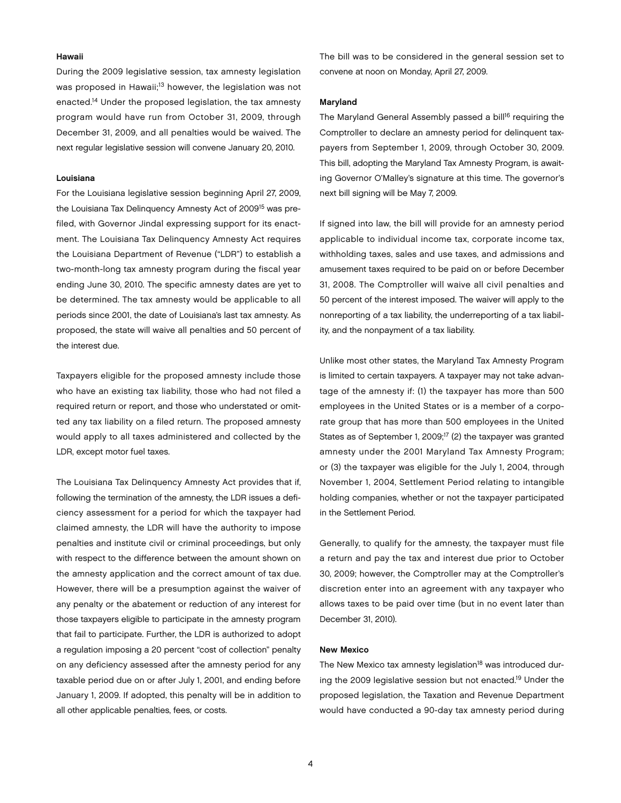#### Hawaii

During the 2009 legislative session, tax amnesty legislation was proposed in Hawaii;<sup>13</sup> however, the legislation was not enacted.14 Under the proposed legislation, the tax amnesty program would have run from October 31, 2009, through December 31, 2009, and all penalties would be waived. The next regular legislative session will convene January 20, 2010.

#### Louisiana

For the Louisiana legislative session beginning April 27, 2009, the Louisiana Tax Delinquency Amnesty Act of 2009<sup>15</sup> was prefiled, with Governor Jindal expressing support for its enactment. The Louisiana Tax Delinquency Amnesty Act requires the Louisiana Department of Revenue ("LDR") to establish a two-month-long tax amnesty program during the fiscal year ending June 30, 2010. The specific amnesty dates are yet to be determined. The tax amnesty would be applicable to all periods since 2001, the date of Louisiana's last tax amnesty. As proposed, the state will waive all penalties and 50 percent of the interest due.

Taxpayers eligible for the proposed amnesty include those who have an existing tax liability, those who had not filed a required return or report, and those who understated or omitted any tax liability on a filed return. The proposed amnesty would apply to all taxes administered and collected by the LDR, except motor fuel taxes.

The Louisiana Tax Delinquency Amnesty Act provides that if, following the termination of the amnesty, the LDR issues a deficiency assessment for a period for which the taxpayer had claimed amnesty, the LDR will have the authority to impose penalties and institute civil or criminal proceedings, but only with respect to the difference between the amount shown on the amnesty application and the correct amount of tax due. However, there will be a presumption against the waiver of any penalty or the abatement or reduction of any interest for those taxpayers eligible to participate in the amnesty program that fail to participate. Further, the LDR is authorized to adopt a regulation imposing a 20 percent "cost of collection" penalty on any deficiency assessed after the amnesty period for any taxable period due on or after July 1, 2001, and ending before January 1, 2009. If adopted, this penalty will be in addition to all other applicable penalties, fees, or costs.

The bill was to be considered in the general session set to convene at noon on Monday, April 27, 2009.

#### Maryland

The Maryland General Assembly passed a bill<sup>16</sup> requiring the Comptroller to declare an amnesty period for delinquent taxpayers from September 1, 2009, through October 30, 2009. This bill, adopting the Maryland Tax Amnesty Program, is awaiting Governor O'Malley's signature at this time. The governor's next bill signing will be May 7, 2009.

If signed into law, the bill will provide for an amnesty period applicable to individual income tax, corporate income tax, withholding taxes, sales and use taxes, and admissions and amusement taxes required to be paid on or before December 31, 2008. The Comptroller will waive all civil penalties and 50 percent of the interest imposed. The waiver will apply to the nonreporting of a tax liability, the underreporting of a tax liability, and the nonpayment of a tax liability.

Unlike most other states, the Maryland Tax Amnesty Program is limited to certain taxpayers. A taxpayer may not take advantage of the amnesty if: (1) the taxpayer has more than 500 employees in the United States or is a member of a corporate group that has more than 500 employees in the United States as of September 1, 2009;<sup>17</sup> (2) the taxpayer was granted amnesty under the 2001 Maryland Tax Amnesty Program; or (3) the taxpayer was eligible for the July 1, 2004, through November 1, 2004, Settlement Period relating to intangible holding companies, whether or not the taxpayer participated in the Settlement Period.

Generally, to qualify for the amnesty, the taxpayer must file a return and pay the tax and interest due prior to October 30, 2009; however, the Comptroller may at the Comptroller's discretion enter into an agreement with any taxpayer who allows taxes to be paid over time (but in no event later than December 31, 2010).

#### New Mexico

The New Mexico tax amnesty legislation<sup>18</sup> was introduced during the 2009 legislative session but not enacted.19 Under the proposed legislation, the Taxation and Revenue Department would have conducted a 90-day tax amnesty period during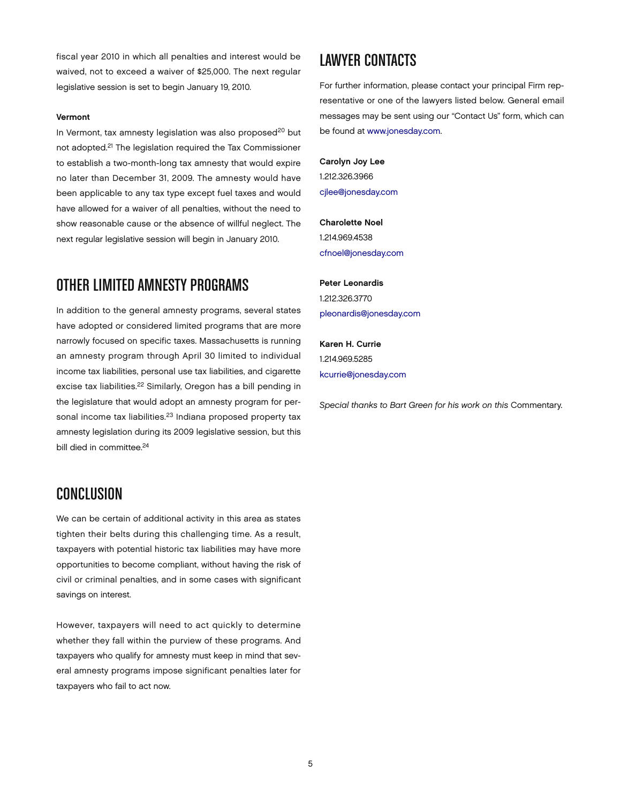fiscal year 2010 in which all penalties and interest would be waived, not to exceed a waiver of \$25,000. The next regular legislative session is set to begin January 19, 2010.

#### Vermont

In Vermont, tax amnesty legislation was also proposed<sup>20</sup> but not adopted.21 The legislation required the Tax Commissioner to establish a two-month-long tax amnesty that would expire no later than December 31, 2009. The amnesty would have been applicable to any tax type except fuel taxes and would have allowed for a waiver of all penalties, without the need to show reasonable cause or the absence of willful neglect. The next regular legislative session will begin in January 2010.

## OTHER LIMITED AMNESTY PROGRAMS

In addition to the general amnesty programs, several states have adopted or considered limited programs that are more narrowly focused on specific taxes. Massachusetts is running an amnesty program through April 30 limited to individual income tax liabilities, personal use tax liabilities, and cigarette excise tax liabilities.<sup>22</sup> Similarly, Oregon has a bill pending in the legislature that would adopt an amnesty program for personal income tax liabilities.<sup>23</sup> Indiana proposed property tax amnesty legislation during its 2009 legislative session, but this bill died in committee.<sup>24</sup>

## **CONCLUSION**

We can be certain of additional activity in this area as states tighten their belts during this challenging time. As a result, taxpayers with potential historic tax liabilities may have more opportunities to become compliant, without having the risk of civil or criminal penalties, and in some cases with significant savings on interest.

However, taxpayers will need to act quickly to determine whether they fall within the purview of these programs. And taxpayers who qualify for amnesty must keep in mind that several amnesty programs impose significant penalties later for taxpayers who fail to act now.

## Lawyer Contacts

For further information, please contact your principal Firm representative or one of the lawyers listed below. General email messages may be sent using our "Contact Us" form, which can be found at [www.jonesday.com.](http://www.jonesday.com)

Carolyn Joy Lee 1.212.326.3966 [cjlee@jonesday.com](mailto:cjlee@jonesday.com)

Charolette Noel 1.214.969.4538 [cfnoel@jonesday.com](mailto:cfnoel@jonesday.com)

Peter Leonardis 1.212.326.3770 [pleonardis@jonesday.com](mailto:pleonardis@jonesday.com)

Karen H. Currie 1.214.969.5285 [kcurrie@jonesday.com](mailto:kcurrie@jonesday.com)

*Special thanks to Bart Green for his work on this* Commentary.